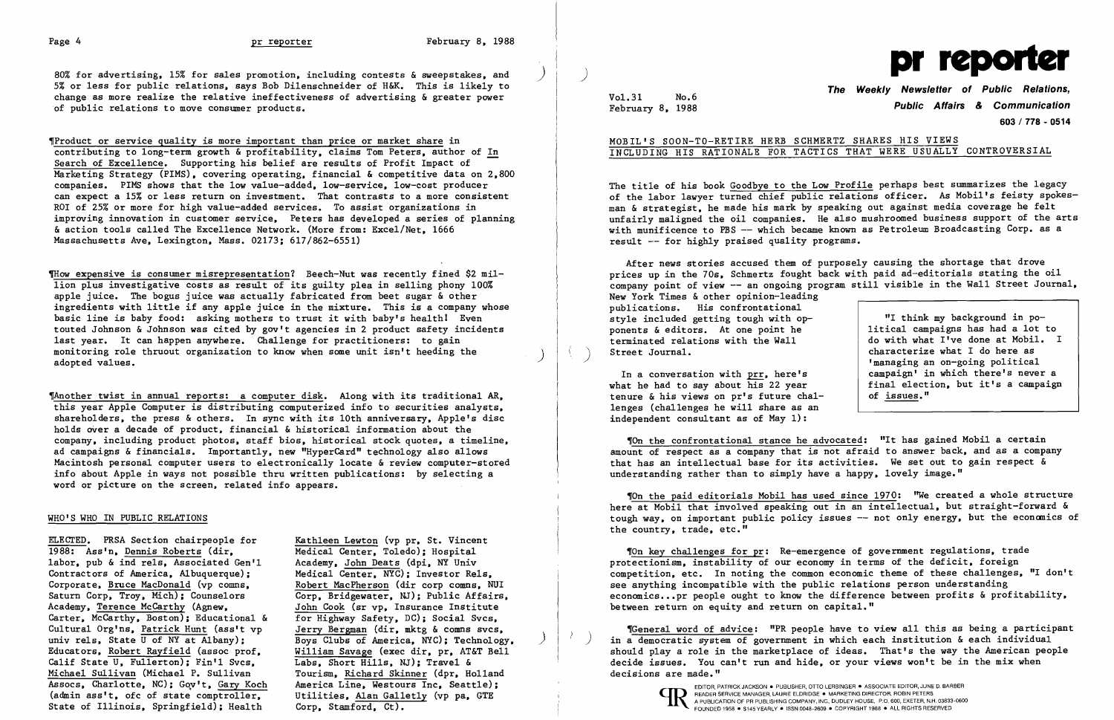

5% or less for public relations. says Bob Dilenschneider of H&K. This is likely to change as more realize the relative ineffectiveness of advertising & greater power of public relations to move consumer products.

~ow expensive is consumer misrepresentation? Beech-Nut was recently fined \$2 million plus investigative costs as result of its guilty plea in selling phony 100% apple juice. The bogus juice was actually fabricated from beet sugar & other ingredients with little if any apple juice in the mixture. This is a company whose basic line is baby food: asking mothers to trust it with baby's health! Even touted Johnson & Johnson was cited by gov't agencies in 2 product safety incidents last year. It can happen anywhere. Challenge for practitioners: to gain monitoring role thruout organization to know when some unit isn't heeding the adopted values.

,Product or service quality is more important than price or market share in contributing to long-term growth & profitability. claims Tom Peters. author of In Search of Excellence. Supporting his belief are results of Profit Impact of Marketing Strategy (PIMS), covering operating, financial & competitive data on 2,800 companies. PIMS shows that the low value-added. low-service. low-cost producer can expect a 15% or less return on investment. That contrasts to a more consistent ROI of 25% or more for high value-added services. To assist organizations in improving innovation in customer service. Peters has developed a series of planning & action tools called The Excellence Network. (More from: Excel/Net. 1666 Massachusetts Ave. Lexington. Mass. 02173; 617/862-6551)

> Kathleen Lewton (vp pr, St. Vincent Medical Center. Toledo); Hospital Academy. John Deats (dpi. NY Univ Medical Center, NYC); Investor Rels, Robert MacPherson (dir corp comns. NUl Corp. Bridgewater. NJ); Public Affairs. John Cook (sr vp. Insurance Institute for Highway Safety. DC); Social Svcs. Jerry Bergman (dir. mktg & comns svcs. Boys Clubs of America. NYC); Technology. ) William Savage (exec dir, pr, AT&T Bell Labs, Short Hills, NJ); Travel & Tourism. Richard Skinner (dpr. Holland America Line, Westours Inc, Seattle); Utilities. Alan Galletly (vp pa. GTE Corp. Stamford. Ct).

,Another twist in annual reports: a computer disk. Along with its traditional AR. this year Apple Computer is distributing computerized info to securities analysts. shareholders. the press & others. In sync with its 10th anniversary. Apple's disc holds over a decade of product, financial & historical information about the company. including product photos. staff bios. historical stock quotes. a timeline. ad campaigns & financials. Importantly. new "HyperCard" technology also allows Macintosh personal computer users to electronically locate & review computer-stored info about Apple in ways not possible thru written publications: by selecting a word or picture on the screen, related info appears.

### WHO'S WHO IN PUBLIC RELATIONS

ELECTED. PRSA Section chairpeop1e for 1988: Ass'n. Dennis Roberts (dir. labor, pub & ind rels, Associated Gen'l Contractors of America. Albuquerque); Corporate, Bruce MacDonald (vp comns. Saturn Corp. Troy. Mich); Counselors Academy. Terence McCarthy (Agnew. Carter. McCarthy. Boston); Educational & Cultural Org'ns. Patrick Hunt (ass't vp univ rels, State U of NY at Albany); Educators. Robert Rayfield (assoc prof. Calif State U, Fullerton); Fin'1 Svcs. Michael Sullivan (Michael P. Sullivan Assocs, Charlotte. NC); Gov't. Gary Koch (admin ass't. ofc of state comptroller. State of Illinois. Springfield); Health

Vol. 31 No.6 February 8. 1988

# **The Weekly Newsletter of Public Relations, Public Affairs & Communication 603/778 - 0514**

### MOBIL'S SOON-TO-RETIRE HERB SCHMERTZ SHARES HIS VIEWS INCLUDING HIS RATIONALE FOR TACTICS THAT WERE USUALLY CONTROVERSIAL

The title of his book Goodbye to the Low Profile perhaps best summarizes the legacy of the labor lawyer turned chief public relations officer. As Mobil's feisty spokesman & strategist. he made his mark by speaking out against media coverage he felt unfairly maligned the oil companies. He also mushroomed business support of the arts with munificence to PBS -- which became known as Petroleum Broadcasting Corp. as a result -- for highly praised quality programs.

After news stories accused them of purposely causing the shortage that drove prices up in the 70s. Schmertz fought back with paid ad-editorials stating the oil company point of view -- an ongoing program still visible in the Wall Street Journal, New York Times & other opinion-leading publications. His confrontational style included getting tough with opponents & editors. At one point he terminated relations with the Wall Street Journal. ) "I think my background in political campaigns has had a lot to do with what I've done at Mobil. I characterize what I do here as

In a conversation with prr. here's what he had to say about his 22 year tenure & his views on pr's future challenges (challenges he will share as an independent consultant as of May 1):

'managing an on-going political campaign' in which there's never a final election. but it's a campaign of issues."

'On the confrontational stance he advocated: "It has gained Mobil a certain amount of respect as a company that is not afraid to answer back. and as a company that has an intellectual base for its activities. We set out to gain respect & understanding rather than to simply have a happy. lovely image."

"On the paid editorials Mobil has used since 1970: "We created a whole structure here at Mobil that involved speaking out in an intellectual, but straight-forward & tough way. on important public policy issues -- not only energy. but the economics of the country, trade, etc."

'On key challenges for pr: Re-emergence of government regulations. trade protectionism. instability of our economy in terms of the deficit. foreign competition. etc. In noting the common economic theme of these challenges. "I don't see anything incompatible with the public relations person understanding economics...pr people ought to know the difference between profits & profitability, between return on equity and return on capital."

'General word of advice: "PR people have to view all this as being a participant ) in a democratic system of government in which each institution & each individual should playa role in the marketplace of ideas. That's the way the American people decide issues. You can't run and hide. or your views won't be in the mix when decisions are made."